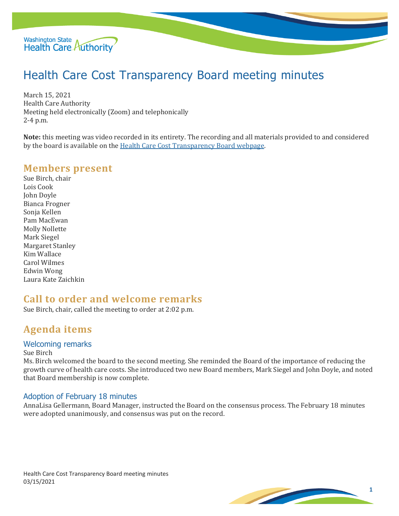

# Health Care Cost Transparency Board meeting minutes

March 15, 2021 Health Care Authority Meeting held electronically (Zoom) and telephonically 2-4 p.m.

**Note:** this meeting was video recorded in its entirety. The recording and all materials provided to and considered by the board is available on the Health Care Cost Transparency Board webpage.

## **Members present**

Sue Birch, chair Lois Cook John Doyle Bianca Frogner Sonja Kellen Pam MacEwan Molly Nollette Mark Siegel Margaret Stanley Kim Wallace Carol Wilmes Edwin Wong Laura Kate Zaichkin

## **Call to order and welcome remarks**

Sue Birch, chair, called the meeting to order at 2:02 p.m.

# **Agenda items**

#### Welcoming remarks

Sue Birch

Ms. Birch welcomed the board to the second meeting. She reminded the Board of the importance of reducing the growth curve of health care costs. She introduced two new Board members, Mark Siegel and John Doyle, and noted that Board membership is now complete.

#### Adoption of February 18 minutes

AnnaLisa Gellermann, Board Manager, instructed the Board on the consensus process. The February 18 minutes were adopted unanimously, and consensus was put on the record.